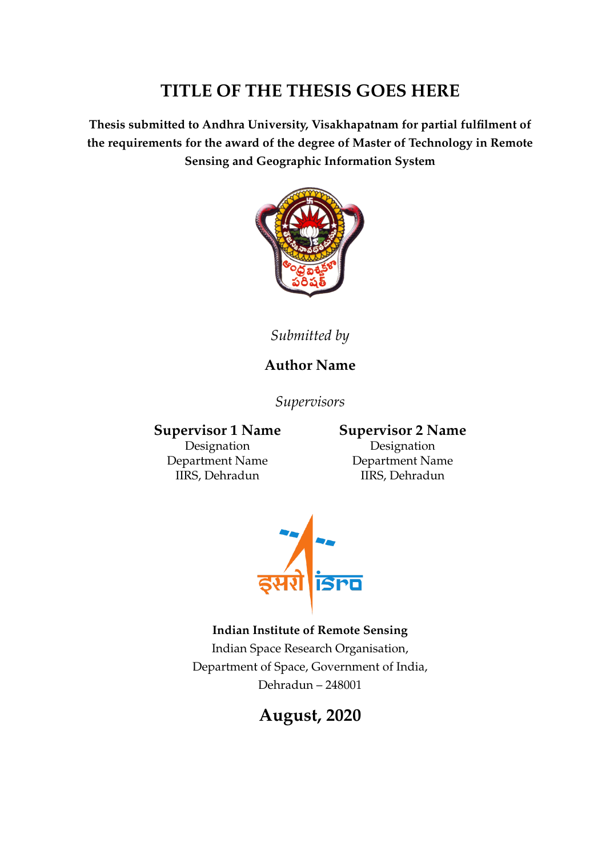#### **TITLE OF THE THESIS GOES HERE**

**Thesis submitted to Andhra University, Visakhapatnam for partial fulfilment of the requirements for the award of the degree of Master of Technology in Remote Sensing and Geographic Information System**



*Submitted by*

#### **Author Name**

*Supervisors*

Designation Designation

#### **Supervisor 1 Name Supervisor 2 Name**

Department Name Department Name IIRS, Dehradun IIRS, Dehradun



#### **Indian Institute of Remote Sensing**

Indian Space Research Organisation, Department of Space, Government of India, Dehradun – 248001

#### **August, 2020**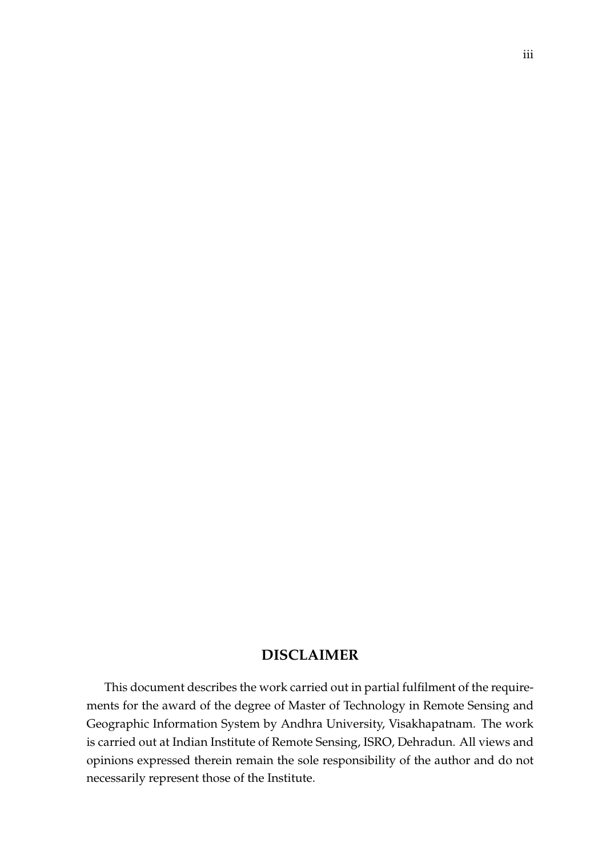#### **DISCLAIMER**

This document describes the work carried out in partial fulfilment of the requirements for the award of the degree of Master of Technology in Remote Sensing and Geographic Information System by Andhra University, Visakhapatnam. The work is carried out at Indian Institute of Remote Sensing, ISRO, Dehradun. All views and opinions expressed therein remain the sole responsibility of the author and do not necessarily represent those of the Institute.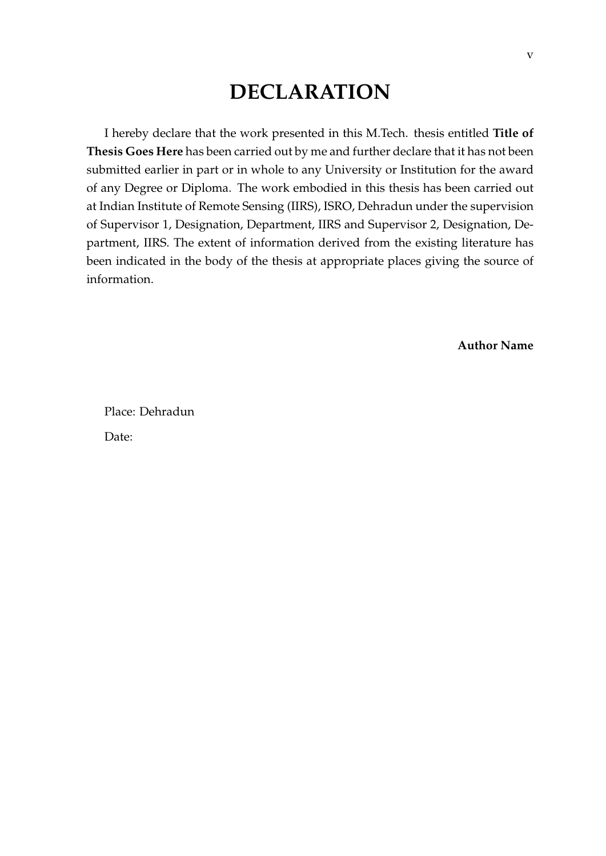### **DECLARATION**

I hereby declare that the work presented in this M.Tech. thesis entitled **Title of Thesis Goes Here** has been carried out by me and further declare that it has not been submitted earlier in part or in whole to any University or Institution for the award of any Degree or Diploma. The work embodied in this thesis has been carried out at Indian Institute of Remote Sensing (IIRS), ISRO, Dehradun under the supervision of Supervisor 1, Designation, Department, IIRS and Supervisor 2, Designation, Department, IIRS. The extent of information derived from the existing literature has been indicated in the body of the thesis at appropriate places giving the source of information.

**Author Name**

Place: Dehradun Date: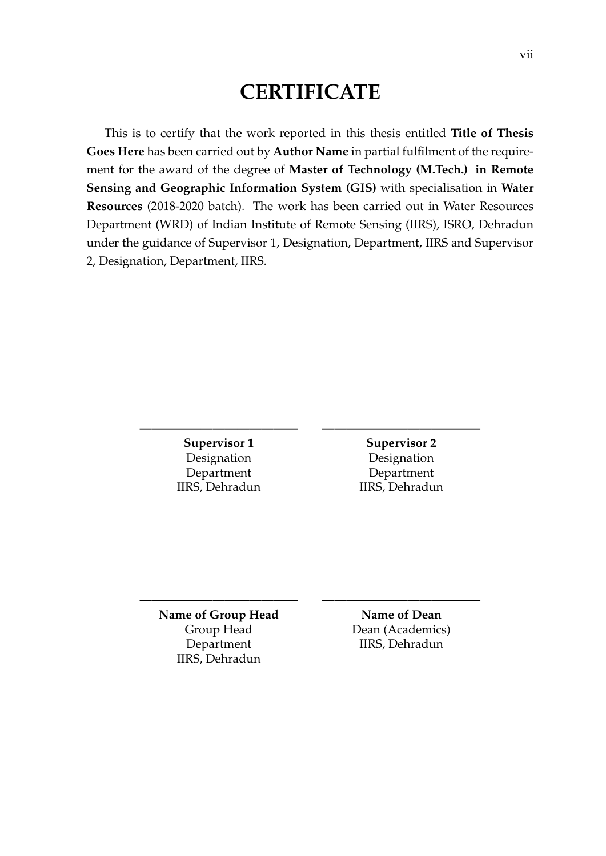#### **CERTIFICATE**

This is to certify that the work reported in this thesis entitled **Title of Thesis Goes Here** has been carried out by **Author Name** in partial fulfilment of the requirement for the award of the degree of **Master of Technology (M.Tech.) in Remote Sensing and Geographic Information System (GIS)** with specialisation in **Water Resources** (2018-2020 batch). The work has been carried out in Water Resources Department (WRD) of Indian Institute of Remote Sensing (IIRS), ISRO, Dehradun under the guidance of Supervisor 1, Designation, Department, IIRS and Supervisor 2, Designation, Department, IIRS.

**————————————— —————————————**

**————————————— —————————————**

**Supervisor 1** Supervisor 2 Designation Designation Department Department IIRS, Dehradun IIRS, Dehradun

**Name of Group Head Name of Dean** IIRS, Dehradun

Group Head Dean (Academics) Department IIRS, Dehradun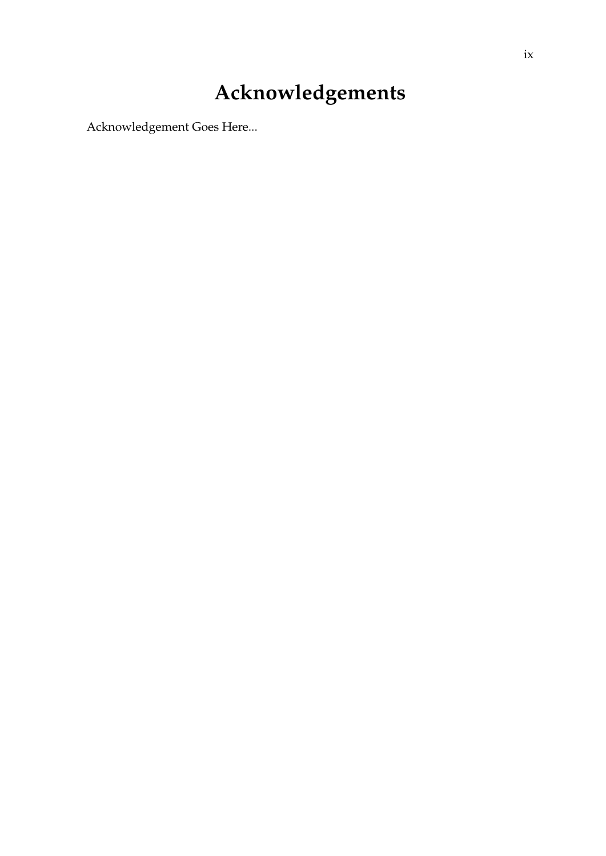## **Acknowledgements**

Acknowledgement Goes Here...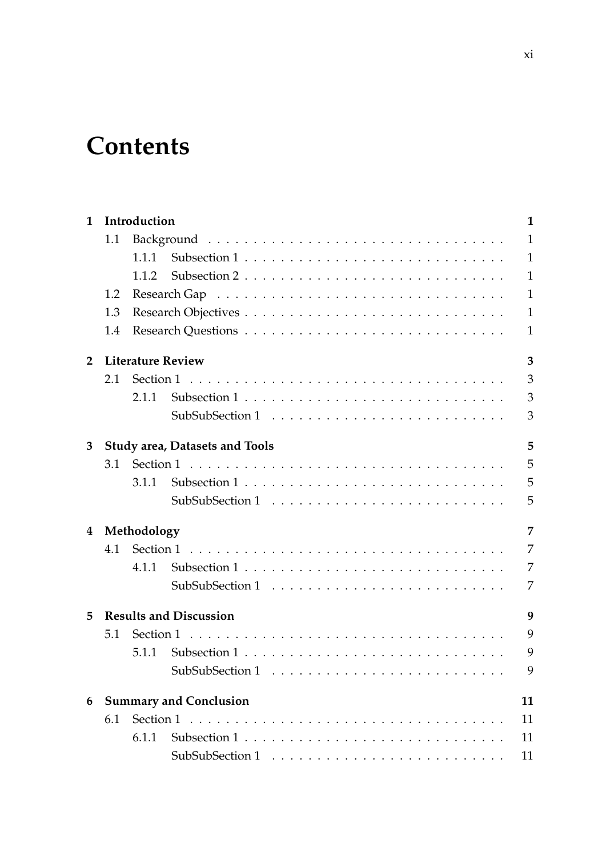## **Contents**

| 1                       |     | Introduction                  |                                       | $\mathbf{1}$ |  |  |  |  |  |  |  |  |  |  |  |  |
|-------------------------|-----|-------------------------------|---------------------------------------|--------------|--|--|--|--|--|--|--|--|--|--|--|--|
|                         | 1.1 |                               |                                       | $\mathbf{1}$ |  |  |  |  |  |  |  |  |  |  |  |  |
|                         |     | 1.1.1                         |                                       | $\mathbf{1}$ |  |  |  |  |  |  |  |  |  |  |  |  |
|                         |     | 1.1.2                         |                                       | $\mathbf{1}$ |  |  |  |  |  |  |  |  |  |  |  |  |
|                         | 1.2 |                               |                                       | $\mathbf{1}$ |  |  |  |  |  |  |  |  |  |  |  |  |
|                         | 1.3 |                               |                                       | $\mathbf{1}$ |  |  |  |  |  |  |  |  |  |  |  |  |
|                         | 1.4 |                               |                                       | $\mathbf{1}$ |  |  |  |  |  |  |  |  |  |  |  |  |
| $\overline{2}$          |     | <b>Literature Review</b><br>3 |                                       |              |  |  |  |  |  |  |  |  |  |  |  |  |
|                         | 2.1 |                               |                                       | 3            |  |  |  |  |  |  |  |  |  |  |  |  |
|                         |     | 2.1.1                         |                                       | 3            |  |  |  |  |  |  |  |  |  |  |  |  |
|                         |     |                               |                                       | 3            |  |  |  |  |  |  |  |  |  |  |  |  |
| 3                       |     |                               | <b>Study area, Datasets and Tools</b> | 5            |  |  |  |  |  |  |  |  |  |  |  |  |
|                         | 3.1 |                               |                                       | 5            |  |  |  |  |  |  |  |  |  |  |  |  |
|                         |     | 3.1.1                         |                                       | 5            |  |  |  |  |  |  |  |  |  |  |  |  |
|                         |     |                               |                                       | 5            |  |  |  |  |  |  |  |  |  |  |  |  |
| $\overline{\mathbf{4}}$ |     | Methodology<br>7              |                                       |              |  |  |  |  |  |  |  |  |  |  |  |  |
|                         | 4.1 |                               |                                       | 7            |  |  |  |  |  |  |  |  |  |  |  |  |
|                         |     | 4.1.1                         |                                       | 7            |  |  |  |  |  |  |  |  |  |  |  |  |
|                         |     |                               |                                       | 7            |  |  |  |  |  |  |  |  |  |  |  |  |
| 5                       |     |                               | <b>Results and Discussion</b>         | 9            |  |  |  |  |  |  |  |  |  |  |  |  |
|                         | 5.1 |                               |                                       | 9            |  |  |  |  |  |  |  |  |  |  |  |  |
|                         |     | 5.1.1                         |                                       | 9            |  |  |  |  |  |  |  |  |  |  |  |  |
|                         |     |                               |                                       | 9            |  |  |  |  |  |  |  |  |  |  |  |  |
| 6                       |     |                               | <b>Summary and Conclusion</b>         | 11           |  |  |  |  |  |  |  |  |  |  |  |  |
|                         | 6.1 |                               |                                       | 11           |  |  |  |  |  |  |  |  |  |  |  |  |
|                         |     | 6.1.1                         |                                       | 11           |  |  |  |  |  |  |  |  |  |  |  |  |
|                         |     |                               |                                       | 11           |  |  |  |  |  |  |  |  |  |  |  |  |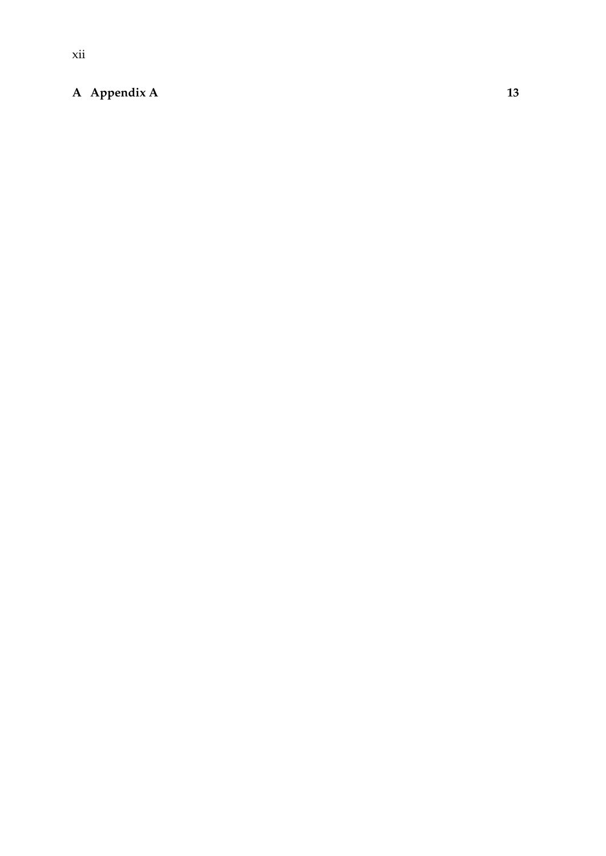#### **[A Appendix A](#page-36-0) 13**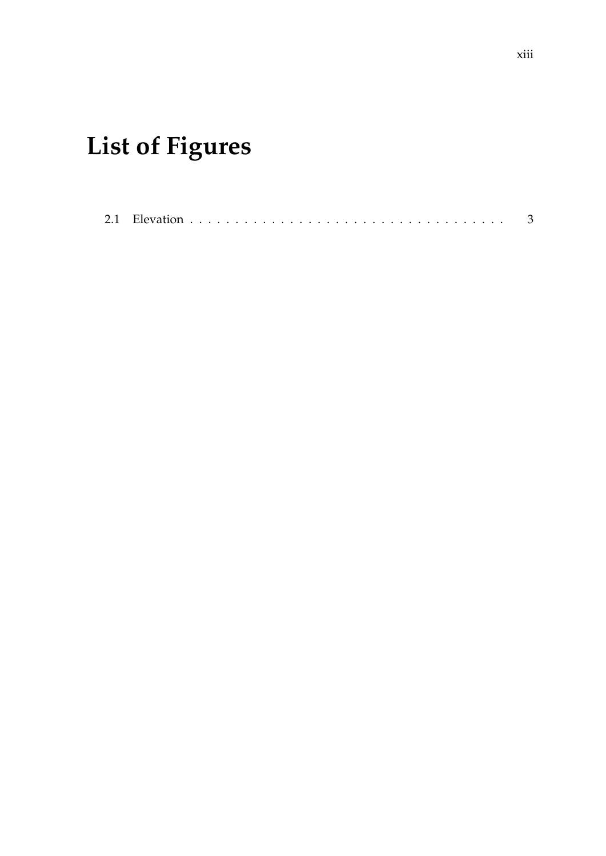## **List of Figures**

|--|--|--|--|--|--|--|--|--|--|--|--|--|--|--|--|--|--|--|--|--|--|--|--|--|--|--|--|--|--|--|--|--|--|--|--|--|--|--|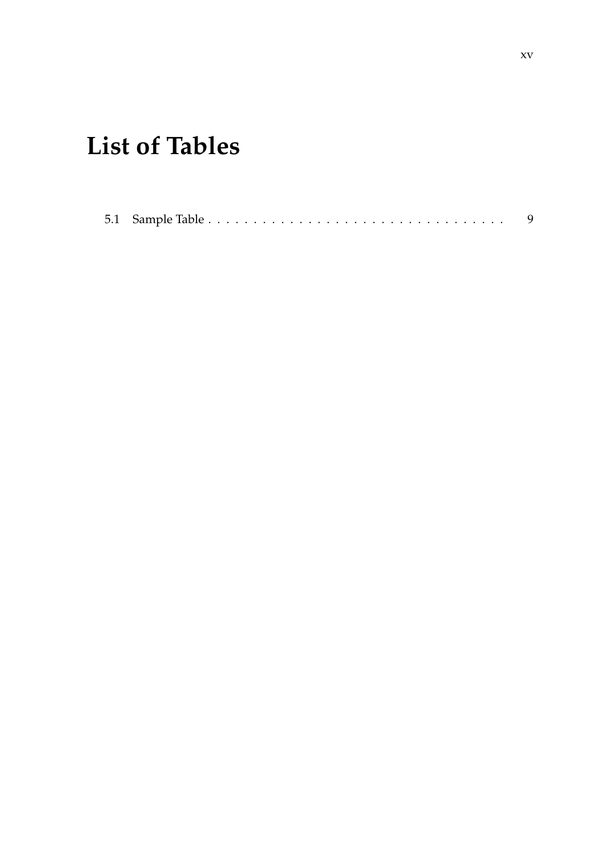## **List of Tables**

|--|--|--|--|--|--|--|--|--|--|--|--|--|--|--|--|--|--|--|--|--|--|--|--|--|--|--|--|--|--|--|--|--|--|--|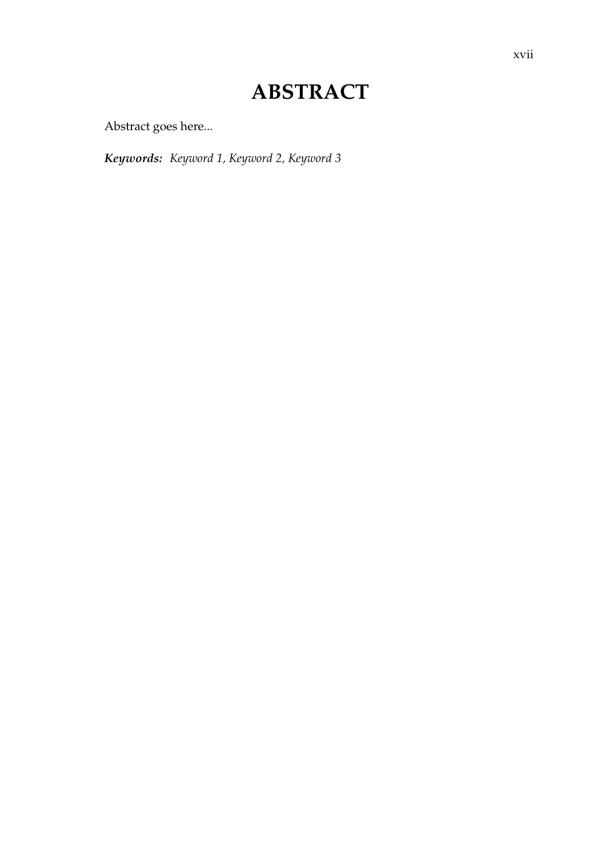## **ABSTRACT**

Abstract goes here...

*Keywords: Keyword 1, Keyword 2, Keyword 3*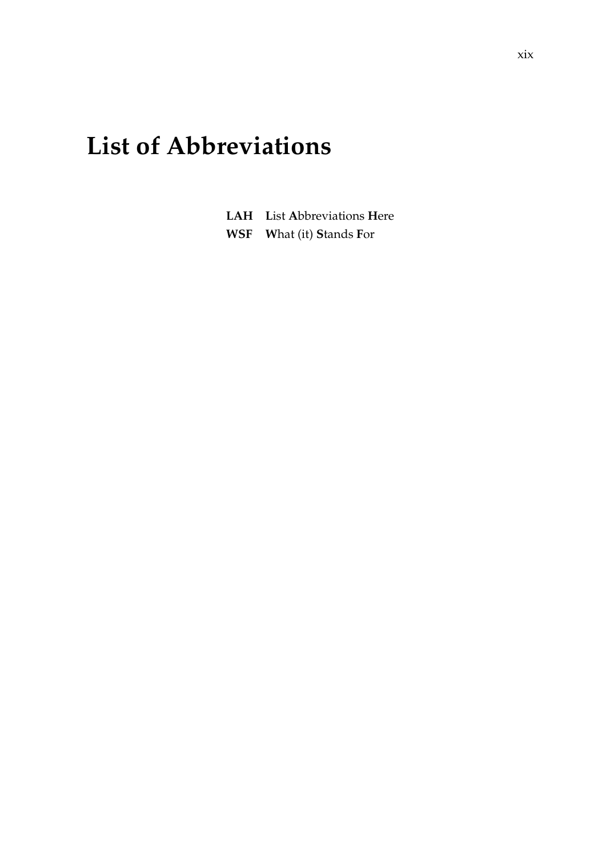## **List of Abbreviations**

| <b>LAH</b> List Abbreviations Here |
|------------------------------------|
| <b>WSF</b> What (it) Stands For    |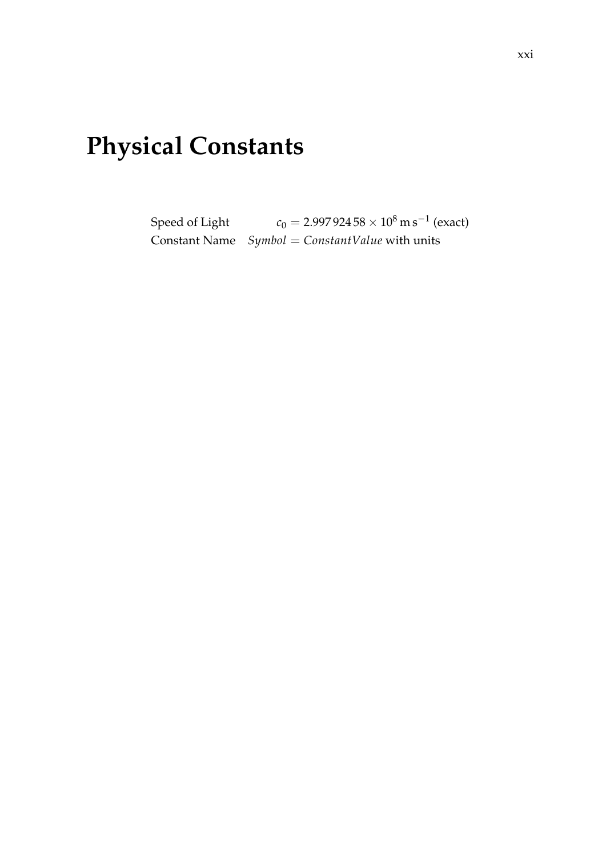## **Physical Constants**

Speed of Light  $c_0 = 2.997\,924\,58 \times 10^8\,\mathrm{m\,s^{-1}}$  (exact) Constant Name *Symbol* = *ConstantValue* with units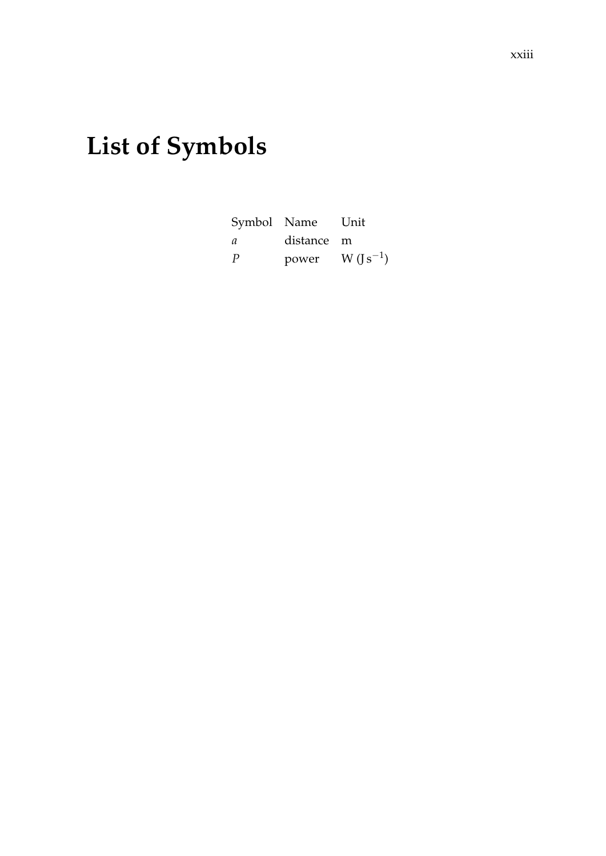#### xxiii

## **List of Symbols**

|    | Symbol Name | Unit         |
|----|-------------|--------------|
| a. | distance m  |              |
| P  | power       | $W (s^{-1})$ |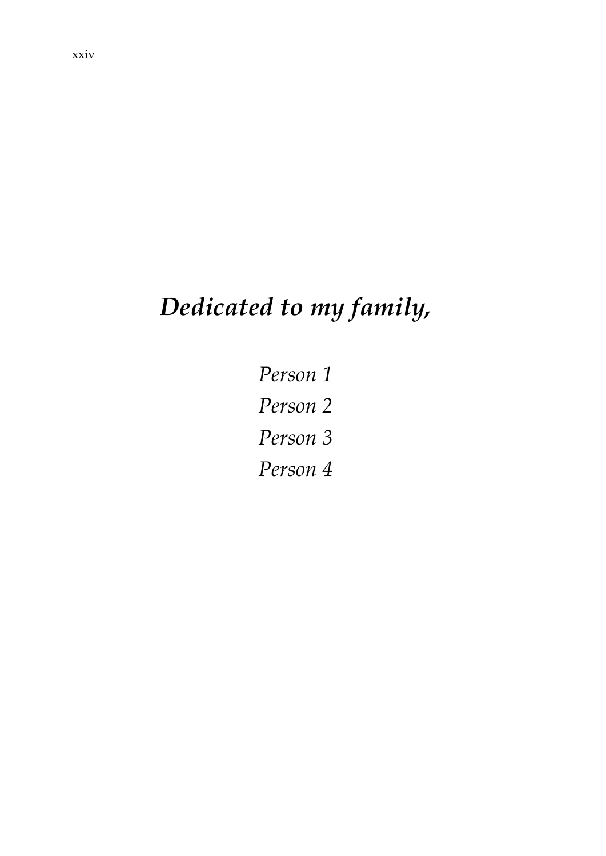# *Dedicated to my family,*

*Person 1 Person 2 Person 3 Person 4*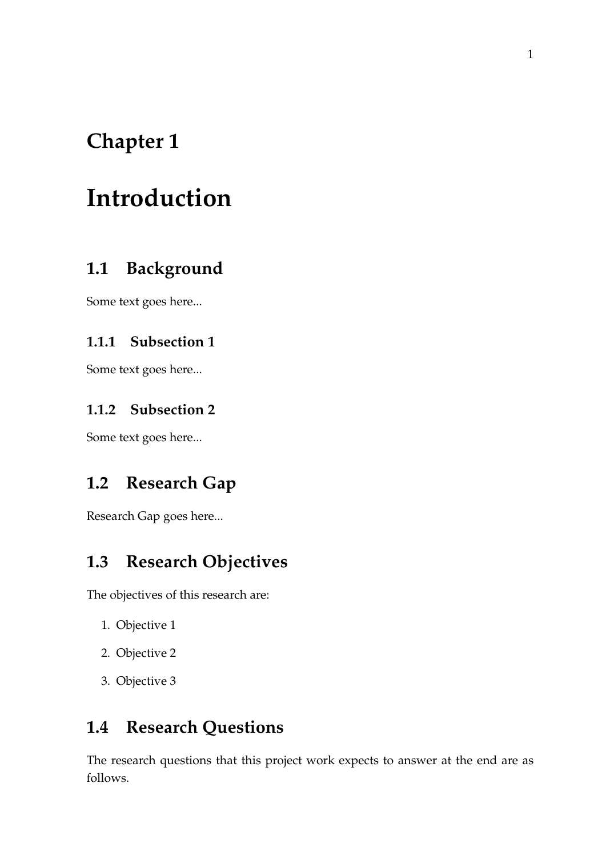## <span id="page-24-0"></span>**Introduction**

#### <span id="page-24-1"></span>**1.1 Background**

Some text goes here...

#### <span id="page-24-2"></span>**1.1.1 Subsection 1**

Some text goes here...

#### <span id="page-24-3"></span>**1.1.2 Subsection 2**

Some text goes here...

#### <span id="page-24-4"></span>**1.2 Research Gap**

Research Gap goes here...

#### <span id="page-24-5"></span>**1.3 Research Objectives**

The objectives of this research are:

- 1. Objective 1
- 2. Objective 2
- 3. Objective 3

#### <span id="page-24-6"></span>**1.4 Research Questions**

The research questions that this project work expects to answer at the end are as follows.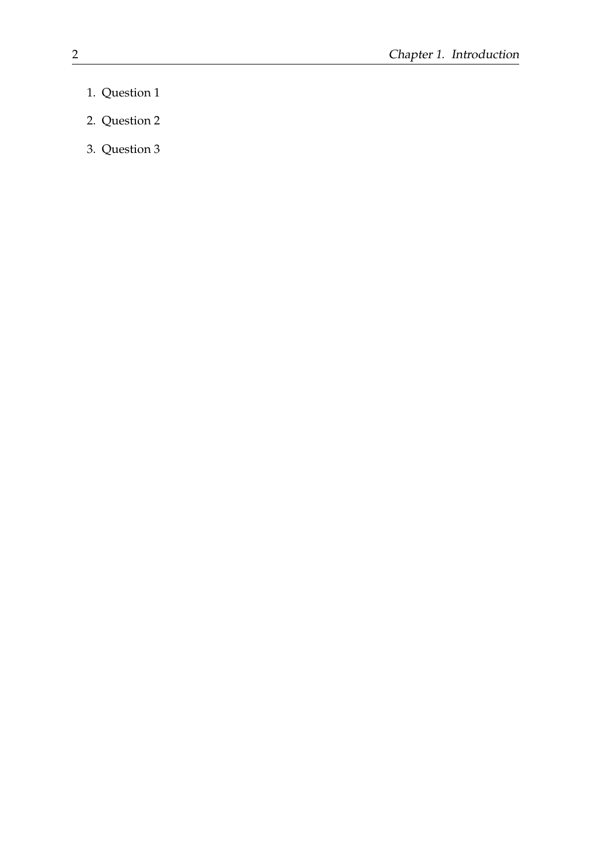- 1. Question 1
- 2. Question 2
- 3. Question 3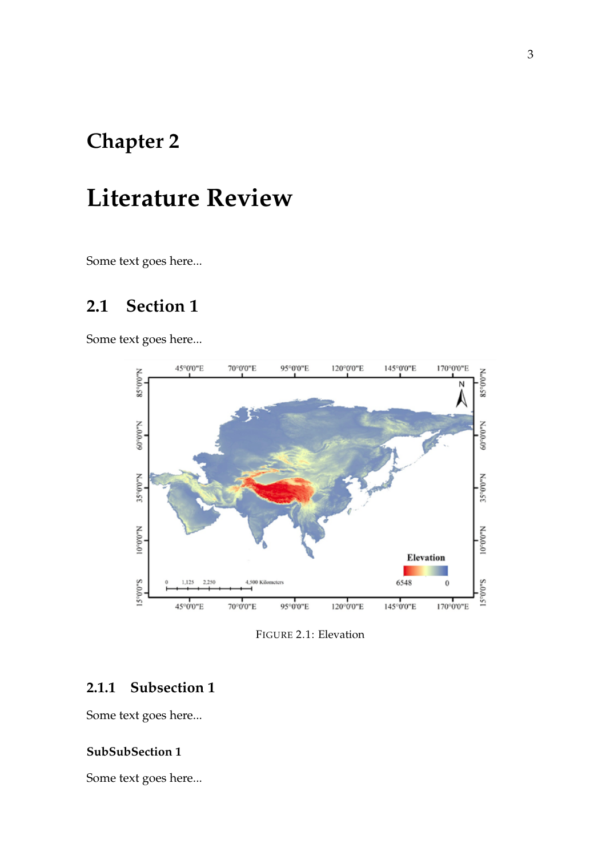## <span id="page-26-0"></span>**Literature Review**

Some text goes here...

#### <span id="page-26-1"></span>**2.1 Section 1**

<span id="page-26-4"></span>Some text goes here...



FIGURE 2.1: Elevation

#### <span id="page-26-2"></span>**2.1.1 Subsection 1**

Some text goes here...

#### <span id="page-26-3"></span>**SubSubSection 1**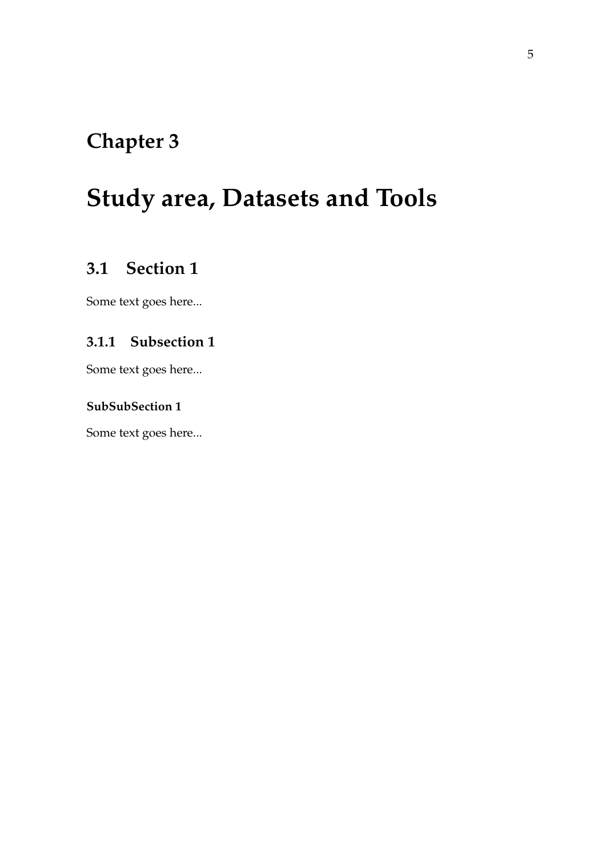## <span id="page-28-0"></span>**Study area, Datasets and Tools**

#### <span id="page-28-1"></span>**3.1 Section 1**

Some text goes here...

#### <span id="page-28-2"></span>**3.1.1 Subsection 1**

Some text goes here...

#### <span id="page-28-3"></span>**SubSubSection 1**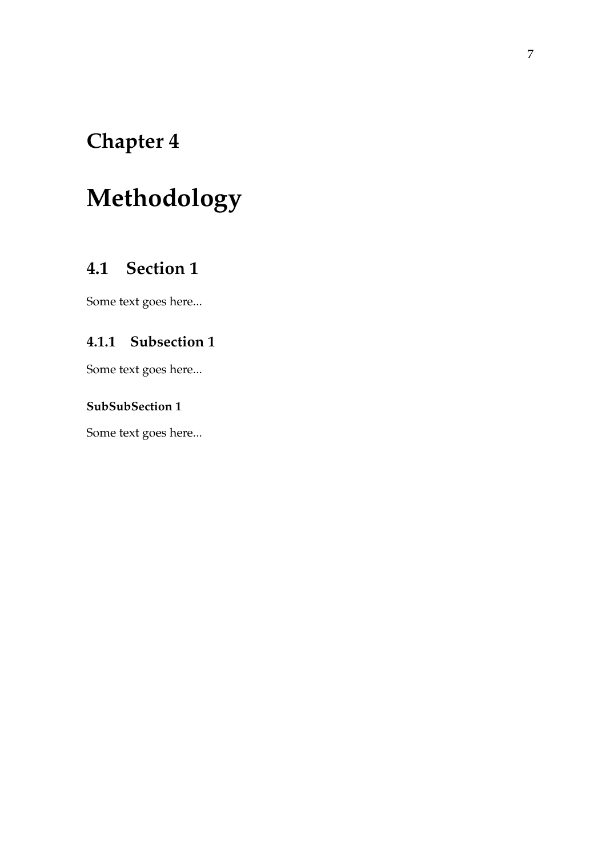## <span id="page-30-0"></span>**Methodology**

#### <span id="page-30-1"></span>**4.1 Section 1**

Some text goes here...

#### <span id="page-30-2"></span>**4.1.1 Subsection 1**

Some text goes here...

#### <span id="page-30-3"></span>**SubSubSection 1**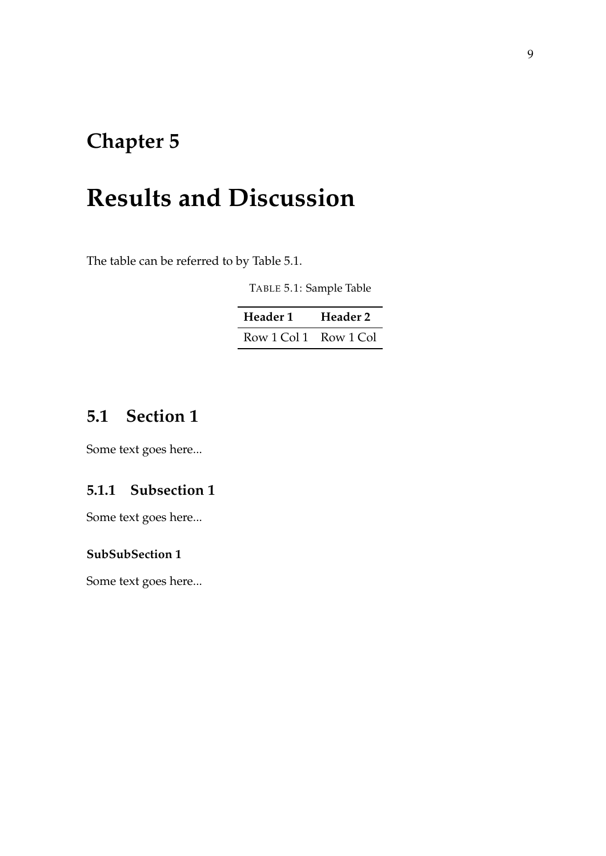## <span id="page-32-0"></span>**Results and Discussion**

<span id="page-32-4"></span>The table can be referred to by Table [5.1.](#page-32-4)

TABLE 5.1: Sample Table

| Header 1              | Header 2 |
|-----------------------|----------|
| Row 1 Col 1 Row 1 Col |          |

#### <span id="page-32-1"></span>**5.1 Section 1**

Some text goes here...

#### <span id="page-32-2"></span>**5.1.1 Subsection 1**

Some text goes here...

#### <span id="page-32-3"></span>**SubSubSection 1**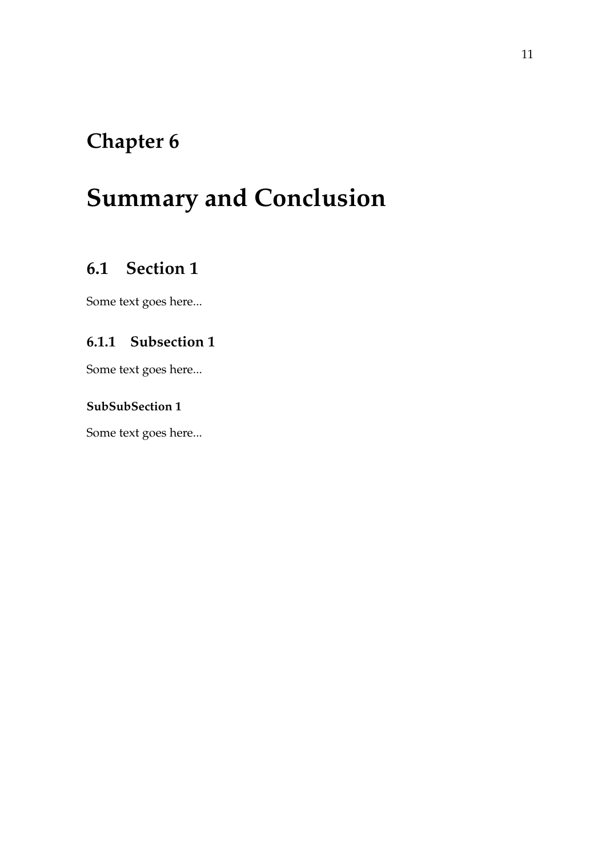## <span id="page-34-0"></span>**Summary and Conclusion**

#### <span id="page-34-1"></span>**6.1 Section 1**

Some text goes here...

#### <span id="page-34-2"></span>**6.1.1 Subsection 1**

Some text goes here...

#### <span id="page-34-3"></span>**SubSubSection 1**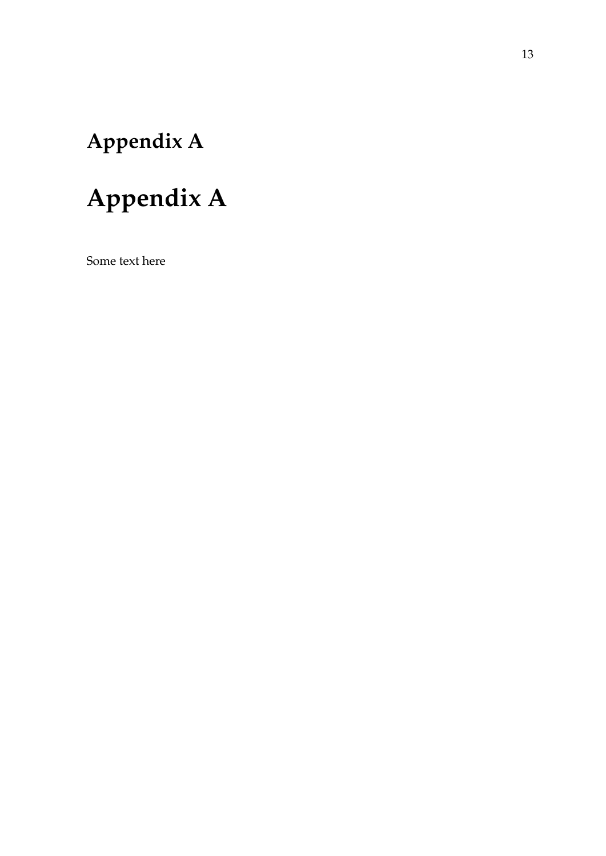## <span id="page-36-0"></span>**Appendix A**

## **Appendix A**

Some text here